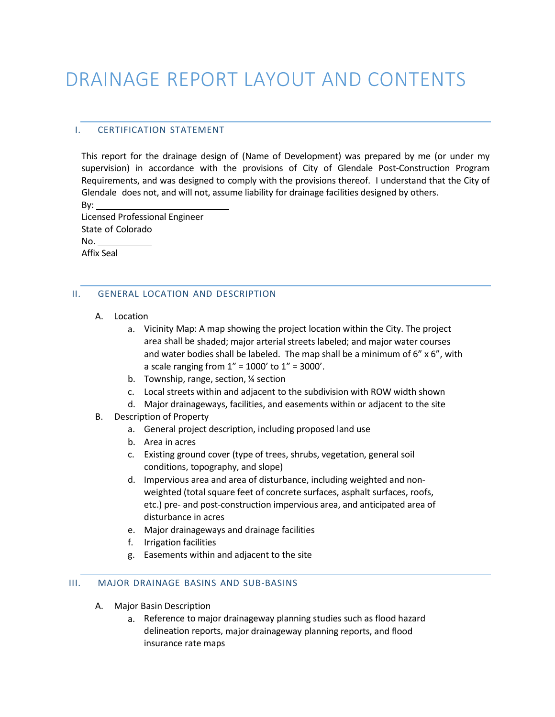# DRAINAGE REPORT LAYOUT AND CONTENTS

# I. CERTIFICATION STATEMENT

This report for the drainage design of (Name of Development) was prepared by me (or under my supervision) in accordance with the provisions of City of Glendale Post-Construction Program Requirements, and was designed to comply with the provisions thereof. I understand that the City of Glendale does not, and will not, assume liability for drainage facilities designed by others.

By:

Licensed Professional Engineer State of Colorado No. Affix Seal

# II. GENERAL LOCATION AND DESCRIPTION

- A. Location
	- a. Vicinity Map: A map showing the project location within the City. The project area shall be shaded; major arterial streets labeled; and major water courses and water bodies shall be labeled. The map shall be a minimum of  $6''$  x  $6''$ , with a scale ranging from  $1'' = 1000'$  to  $1'' = 3000'$ .
	- b. Township, range, section, ¼ section
	- c. Local streets within and adjacent to the subdivision with ROW width shown
	- d. Major drainageways, facilities, and easements within or adjacent to the site
- B. Description of Property
	- a. General project description, including proposed land use
	- b. Area in acres
	- c. Existing ground cover (type of trees, shrubs, vegetation, general soil conditions, topography, and slope)
	- d. Impervious area and area of disturbance, including weighted and nonweighted (total square feet of concrete surfaces, asphalt surfaces, roofs, etc.) pre- and post-construction impervious area, and anticipated area of disturbance in acres
	- e. Major drainageways and drainage facilities
	- f. Irrigation facilities
	- g. Easements within and adjacent to the site

## III. MAJOR DRAINAGE BASINS AND SUB-BASINS

- A. Major Basin Description
	- a. Reference to major drainageway planning studies such as flood hazard delineation reports, major drainageway planning reports, and flood insurance rate maps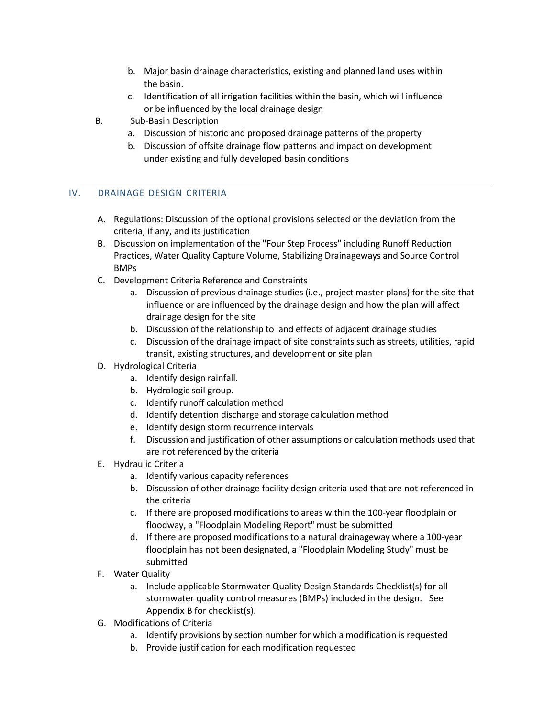- b. Major basin drainage characteristics, existing and planned land uses within the basin.
- c. Identification of all irrigation facilities within the basin, which will influence or be influenced by the local drainage design
- B. Sub-Basin Description
	- a. Discussion of historic and proposed drainage patterns of the property
	- b. Discussion of offsite drainage flow patterns and impact on development under existing and fully developed basin conditions

# IV. DRAINAGE DESIGN CRITERIA

- A. Regulations: Discussion of the optional provisions selected or the deviation from the criteria, if any, and its justification
- B. Discussion on implementation of the "Four Step Process" including Runoff Reduction Practices, Water Quality Capture Volume, Stabilizing Drainageways and Source Control BMPs
- C. Development Criteria Reference and Constraints
	- a. Discussion of previous drainage studies (i.e., project master plans) for the site that influence or are influenced by the drainage design and how the plan will affect drainage design for the site
	- b. Discussion of the relationship to and effects of adjacent drainage studies
	- c. Discussion of the drainage impact of site constraints such as streets, utilities, rapid transit, existing structures, and development or site plan
- D. Hydrological Criteria
	- a. Identify design rainfall.
	- b. Hydrologic soil group.
	- c. Identify runoff calculation method
	- d. Identify detention discharge and storage calculation method
	- e. Identify design storm recurrence intervals
	- f. Discussion and justification of other assumptions or calculation methods used that are not referenced by the criteria
- E. Hydraulic Criteria
	- a. Identify various capacity references
	- b. Discussion of other drainage facility design criteria used that are not referenced in the criteria
	- c. If there are proposed modifications to areas within the 100-year floodplain or floodway, a "Floodplain Modeling Report" must be submitted
	- d. If there are proposed modifications to a natural drainageway where a 100-year floodplain has not been designated, a "Floodplain Modeling Study" must be submitted
- F. Water Quality
	- a. Include applicable Stormwater Quality Design Standards Checklist(s) for all stormwater quality control measures (BMPs) included in the design. See Appendix B for checklist(s).
- G. Modifications of Criteria
	- a. Identify provisions by section number for which a modification is requested
	- b. Provide justification for each modification requested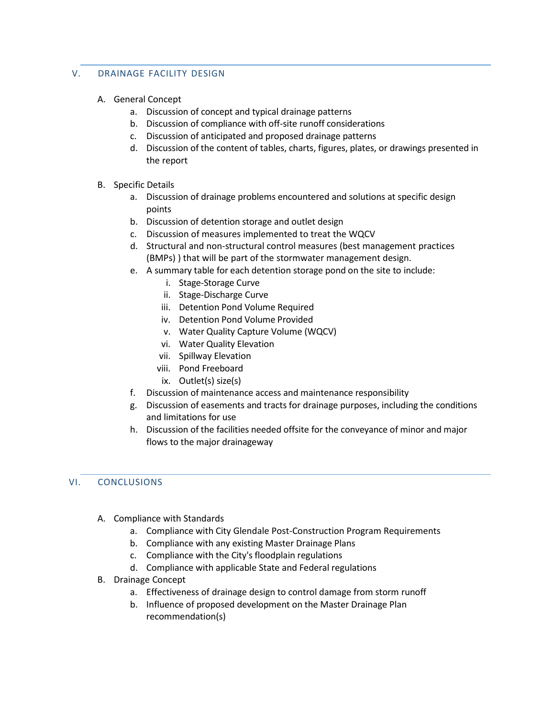# V. DRAINAGE FACILITY DESIGN

- A. General Concept
	- a. Discussion of concept and typical drainage patterns
	- b. Discussion of compliance with off-site runoff considerations
	- c. Discussion of anticipated and proposed drainage patterns
	- d. Discussion of the content of tables, charts, figures, plates, or drawings presented in the report
- B. Specific Details
	- a. Discussion of drainage problems encountered and solutions at specific design points
	- b. Discussion of detention storage and outlet design
	- c. Discussion of measures implemented to treat the WQCV
	- d. Structural and non-structural control measures (best management practices (BMPs) ) that will be part of the stormwater management design.
	- e. A summary table for each detention storage pond on the site to include:
		- i. Stage-Storage Curve
		- ii. Stage-Discharge Curve
		- iii. Detention Pond Volume Required
		- iv. Detention Pond Volume Provided
		- v. Water Quality Capture Volume (WQCV)
		- vi. Water Quality Elevation
		- vii. Spillway Elevation
		- viii. Pond Freeboard
		- ix. Outlet(s) size(s)
	- f. Discussion of maintenance access and maintenance responsibility
	- g. Discussion of easements and tracts for drainage purposes, including the conditions and limitations for use
	- h. Discussion of the facilities needed offsite for the conveyance of minor and major flows to the major drainageway

## VI. CONCLUSIONS

- A. Compliance with Standards
	- a. Compliance with City Glendale Post-Construction Program Requirements
	- b. Compliance with any existing Master Drainage Plans
	- c. Compliance with the City's floodplain regulations
	- d. Compliance with applicable State and Federal regulations
- B. Drainage Concept
	- a. Effectiveness of drainage design to control damage from storm runoff
	- b. Influence of proposed development on the Master Drainage Plan recommendation(s)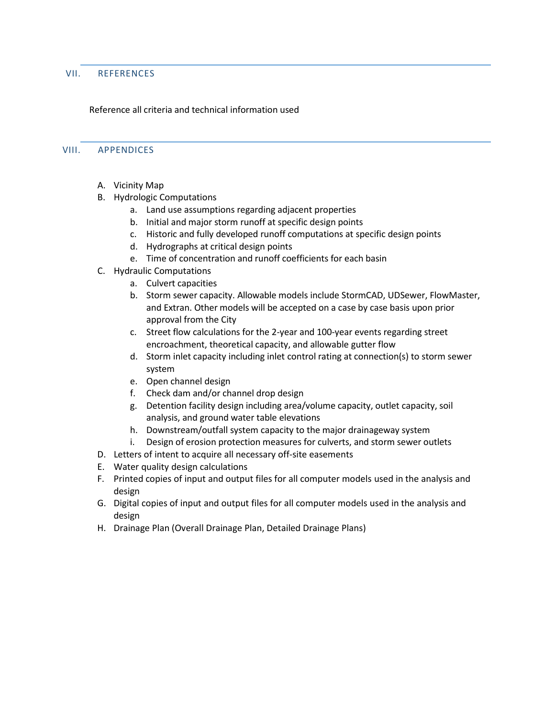#### VII. REFERENCES

### Reference all criteria and technical information used

#### VIII. APPENDICES

- A. Vicinity Map
- B. Hydrologic Computations
	- a. Land use assumptions regarding adjacent properties
	- b. Initial and major storm runoff at specific design points
	- c. Historic and fully developed runoff computations at specific design points
	- d. Hydrographs at critical design points
	- e. Time of concentration and runoff coefficients for each basin
- C. Hydraulic Computations
	- a. Culvert capacities
	- b. Storm sewer capacity. Allowable models include StormCAD, UDSewer, FlowMaster, and Extran. Other models will be accepted on a case by case basis upon prior approval from the City
	- c. Street flow calculations for the 2-year and 100-year events regarding street encroachment, theoretical capacity, and allowable gutter flow
	- d. Storm inlet capacity including inlet control rating at connection(s) to storm sewer system
	- e. Open channel design
	- f. Check dam and/or channel drop design
	- g. Detention facility design including area/volume capacity, outlet capacity, soil analysis, and ground water table elevations
	- h. Downstream/outfall system capacity to the major drainageway system
	- i. Design of erosion protection measures for culverts, and storm sewer outlets
- D. Letters of intent to acquire all necessary off-site easements
- E. Water quality design calculations
- F. Printed copies of input and output files for all computer models used in the analysis and design
- G. Digital copies of input and output files for all computer models used in the analysis and design
- H. Drainage Plan (Overall Drainage Plan, Detailed Drainage Plans)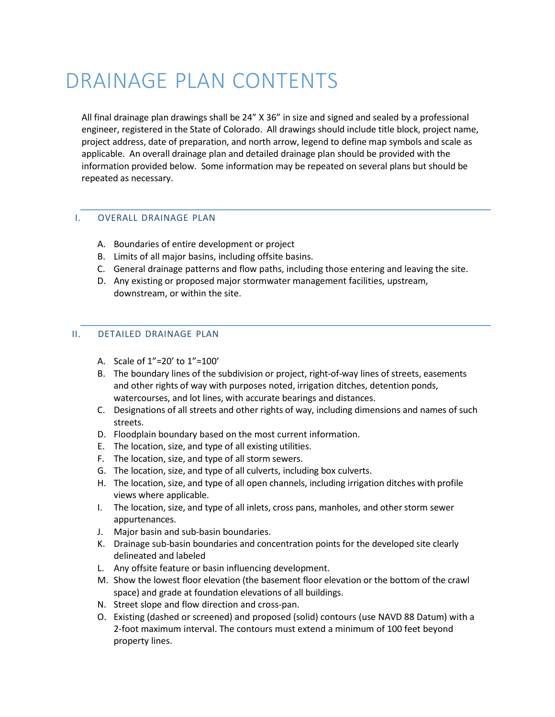# DRAINAGE PLAN CONTENTS

All final drainage plan drawings shall be 24" X 36" in size and signed and sealed by a professional engineer, registered in the State of Colorado. All drawings should include title block, project name, project address, date of preparation, and north arrow, legend to define map symbols and scale as applicable. An overall drainage plan and detailed drainage plan should be provided with the information provided below. Some information may be repeated on several plans but should be repeated as necessary.

## I. OVERALL DRAINAGE PLAN

- A. Boundaries of entire development or project
- B. Limits of all major basins, including offsite basins.
- C. General drainage patterns and flow paths, including those entering and leaving the site.
- D. Any existing or proposed major stormwater management facilities, upstream, downstream, or within the site.

## II. DETAILED DRAINAGE PLAN

- A. Scale of 1"=20' to 1"=100'
- B. The boundary lines of the subdivision or project, right-of-way lines of streets, easements and other rights of way with purposes noted, irrigation ditches, detention ponds, watercourses, and lot lines, with accurate bearings and distances.
- C. Designations of all streets and other rights of way, including dimensions and names of such streets.
- D. Floodplain boundary based on the most current information.
- E. The location, size, and type of all existing utilities.
- F. The location, size, and type of all storm sewers.
- G. The location, size, and type of all culverts, including box culverts.
- H. The location, size, and type of all open channels, including irrigation ditches with profile views where applicable.
- I. The location, size, and type of all inlets, cross pans, manholes, and other storm sewer appurtenances.
- J. Major basin and sub-basin boundaries.
- K. Drainage sub-basin boundaries and concentration points for the developed site clearly delineated and labeled
- L. Any offsite feature or basin influencing development.
- M. Show the lowest floor elevation (the basement floor elevation or the bottom of the crawl space) and grade at foundation elevations of all buildings.
- N. Street slope and flow direction and cross-pan.
- O. Existing (dashed or screened) and proposed (solid) contours (use NAVD 88 Datum) with a 2-foot maximum interval. The contours must extend a minimum of 100 feet beyond property lines.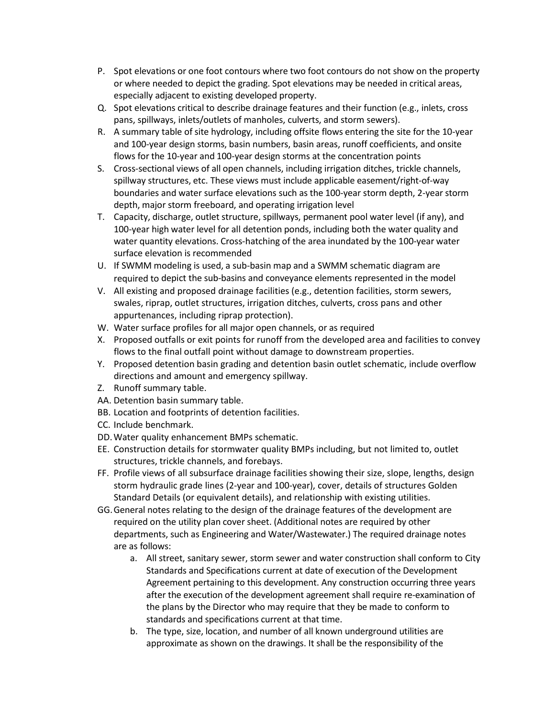- P. Spot elevations or one foot contours where two foot contours do not show on the property or where needed to depict the grading. Spot elevations may be needed in critical areas, especially adjacent to existing developed property.
- Q. Spot elevations critical to describe drainage features and their function (e.g., inlets, cross pans, spillways, inlets/outlets of manholes, culverts, and storm sewers).
- R. A summary table of site hydrology, including offsite flows entering the site for the 10-year and 100-year design storms, basin numbers, basin areas, runoff coefficients, and onsite flows for the 10-year and 100-year design storms at the concentration points
- S. Cross-sectional views of all open channels, including irrigation ditches, trickle channels, spillway structures, etc. These views must include applicable easement/right-of-way boundaries and water surface elevations such as the 100-year storm depth, 2-year storm depth, major storm freeboard, and operating irrigation level
- T. Capacity, discharge, outlet structure, spillways, permanent pool water level (if any), and 100-year high water level for all detention ponds, including both the water quality and water quantity elevations. Cross-hatching of the area inundated by the 100-year water surface elevation is recommended
- U. If SWMM modeling is used, a sub-basin map and a SWMM schematic diagram are required to depict the sub-basins and conveyance elements represented in the model
- V. All existing and proposed drainage facilities (e.g., detention facilities, storm sewers, swales, riprap, outlet structures, irrigation ditches, culverts, cross pans and other appurtenances, including riprap protection).
- W. Water surface profiles for all major open channels, or as required
- X. Proposed outfalls or exit points for runoff from the developed area and facilities to convey flows to the final outfall point without damage to downstream properties.
- Y. Proposed detention basin grading and detention basin outlet schematic, include overflow directions and amount and emergency spillway.
- Z. Runoff summary table.
- AA. Detention basin summary table.
- BB. Location and footprints of detention facilities.
- CC. Include benchmark.
- DD.Water quality enhancement BMPs schematic.
- EE. Construction details for stormwater quality BMPs including, but not limited to, outlet structures, trickle channels, and forebays.
- FF. Profile views of all subsurface drainage facilities showing their size, slope, lengths, design storm hydraulic grade lines (2-year and 100-year), cover, details of structures Golden Standard Details (or equivalent details), and relationship with existing utilities.
- GG.General notes relating to the design of the drainage features of the development are required on the utility plan cover sheet. (Additional notes are required by other departments, such as Engineering and Water/Wastewater.) The required drainage notes are as follows:
	- a. All street, sanitary sewer, storm sewer and water construction shall conform to City Standards and Specifications current at date of execution of the Development Agreement pertaining to this development. Any construction occurring three years after the execution of the development agreement shall require re-examination of the plans by the Director who may require that they be made to conform to standards and specifications current at that time.
	- b. The type, size, location, and number of all known underground utilities are approximate as shown on the drawings. It shall be the responsibility of the